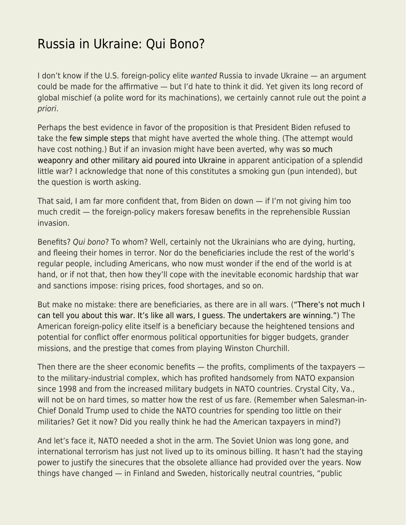## [Russia in Ukraine: Qui Bono?](https://everything-voluntary.com/russia-in-ukraine-qui-bono)

I don't know if the U.S. foreign-policy elite wanted Russia to invade Ukraine — an argument could be made for the affirmative — but I'd hate to think it did. Yet given its long record of global mischief (a polite word for its machinations), we certainly cannot rule out the point a priori.

Perhaps the best evidence in favor of the proposition is that President Biden refused to take the [few simple steps](https://libertarianinstitute.org/articles/tgif-when-history-begins/) that might have averted the whole thing. (The attempt would have cost nothing.) But if an invasion might have been averted, why was [so much](https://www.washingtonpost.com/national-security/2022/03/04/us-weapons-ukraine/) [weaponry and other military aid poured into Ukraine](https://www.washingtonpost.com/national-security/2022/03/04/us-weapons-ukraine/) in apparent anticipation of a splendid little war? I acknowledge that none of this constitutes a smoking gun (pun intended), but the question is worth asking.

That said, I am far more confident that, from Biden on down — if I'm not giving him too much credit — the foreign-policy makers foresaw benefits in the reprehensible Russian invasion.

Benefits? Qui bono? To whom? Well, certainly not the Ukrainians who are dying, hurting, and fleeing their homes in terror. Nor do the beneficiaries include the rest of the world's regular people, including Americans, who now must wonder if the end of the world is at hand, or if not that, then how they'll cope with the inevitable economic hardship that war and sanctions impose: rising prices, food shortages, and so on.

But make no mistake: there are beneficiaries, as there are in all wars. [\("There's not much I](https://www.imdb.com/title/tt0059711/characters/nm0000071) [can tell you about this war. It's like all wars, I guess. The undertakers are winning."](https://www.imdb.com/title/tt0059711/characters/nm0000071)) The American foreign-policy elite itself is a beneficiary because the heightened tensions and potential for conflict offer enormous political opportunities for bigger budgets, grander missions, and the prestige that comes from playing Winston Churchill.

Then there are the sheer economic benefits — the profits, compliments of the taxpayers to the military-industrial complex, which has profited handsomely from NATO expansion since 1998 and from the increased military budgets in NATO countries. Crystal City, Va., will not be on hard times, so matter how the rest of us fare. (Remember when Salesman-in-Chief Donald Trump used to chide the NATO countries for spending too little on their militaries? Get it now? Did you really think he had the American taxpayers in mind?)

And let's face it, NATO needed a shot in the arm. The Soviet Union was long gone, and international terrorism has just not lived up to its ominous billing. It hasn't had the staying power to justify the sinecures that the obsolete alliance had provided over the years. Now things have changed — in Finland and Sweden, historically neutral countries, "public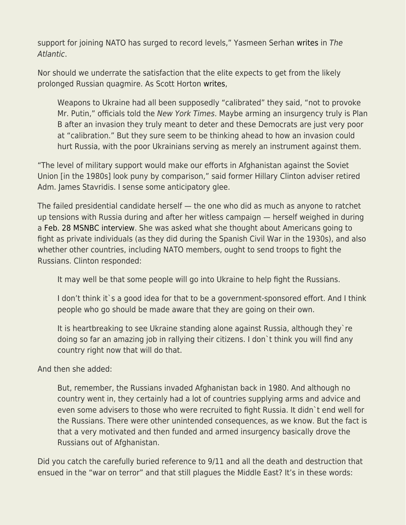support for joining NATO has surged to record levels," Yasmeen Serhan [writes](https://www.theatlantic.com/international/archive/2022/03/putin-nato-finland-sweden-support-ukraine/626965/) in The Atlantic.

Nor should we underrate the satisfaction that the elite expects to get from the likely prolonged Russian quagmire. As Scott Horton [writes,](https://libertarianinstitute.org/articles/the-history-behind-the-russia-ukraine-war/)

Weapons to Ukraine had all been supposedly "calibrated" they said, "not to provoke Mr. Putin," officials told the New York Times. Maybe arming an insurgency truly is Plan B after an invasion they truly meant to deter and these Democrats are just very poor at "calibration." But they sure seem to be thinking ahead to how an invasion could hurt Russia, with the poor Ukrainians serving as merely an instrument against them.

"The level of military support would make our efforts in Afghanistan against the Soviet Union [in the 1980s] look puny by comparison," said former Hillary Clinton adviser retired Adm. James Stavridis. I sense some anticipatory glee.

The failed presidential candidate herself — the one who did as much as anyone to ratchet up tensions with Russia during and after her witless campaign — herself weighed in during a [Feb. 28 MSNBC interview](https://www.msnbc.com/transcripts/rachel-maddow-show/transcript-rachel-maddow-show-2-28-22-n1290370). She was asked what she thought about Americans going to fight as private individuals (as they did during the Spanish Civil War in the 1930s), and also whether other countries, including NATO members, ought to send troops to fight the Russians. Clinton responded:

It may well be that some people will go into Ukraine to help fight the Russians.

I don't think it s a good idea for that to be a government-sponsored effort. And I think people who go should be made aware that they are going on their own.

It is heartbreaking to see Ukraine standing alone against Russia, although they`re doing so far an amazing job in rallying their citizens. I don`t think you will find any country right now that will do that.

And then she added:

But, remember, the Russians invaded Afghanistan back in 1980. And although no country went in, they certainly had a lot of countries supplying arms and advice and even some advisers to those who were recruited to fight Russia. It didn`t end well for the Russians. There were other unintended consequences, as we know. But the fact is that a very motivated and then funded and armed insurgency basically drove the Russians out of Afghanistan.

Did you catch the carefully buried reference to 9/11 and all the death and destruction that ensued in the "war on terror" and that still plagues the Middle East? It's in these words: